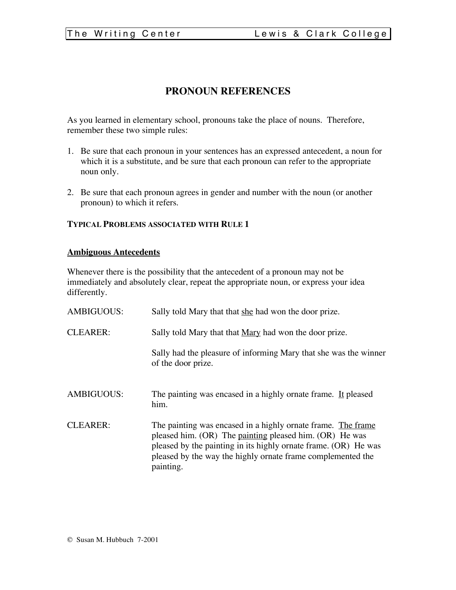# **PRONOUN REFERENCES**

As you learned in elementary school, pronouns take the place of nouns. Therefore, remember these two simple rules:

- 1. Be sure that each pronoun in your sentences has an expressed antecedent, a noun for which it is a substitute, and be sure that each pronoun can refer to the appropriate noun only.
- 2. Be sure that each pronoun agrees in gender and number with the noun (or another pronoun) to which it refers.

#### **TYPICAL PROBLEMS ASSOCIATED WITH RULE 1**

#### **Ambiguous Antecedents**

Whenever there is the possibility that the antecedent of a pronoun may not be immediately and absolutely clear, repeat the appropriate noun, or express your idea differently.

| <b>AMBIGUOUS:</b> | Sally told Mary that that she had won the door prize.                                                                                                                                                                                                                  |  |  |
|-------------------|------------------------------------------------------------------------------------------------------------------------------------------------------------------------------------------------------------------------------------------------------------------------|--|--|
| <b>CLEARER:</b>   | Sally told Mary that that <u>Mary</u> had won the door prize.                                                                                                                                                                                                          |  |  |
|                   | Sally had the pleasure of informing Mary that she was the winner<br>of the door prize.                                                                                                                                                                                 |  |  |
| <b>AMBIGUOUS:</b> | The painting was encased in a highly ornate frame. It pleased<br>him.                                                                                                                                                                                                  |  |  |
| <b>CLEARER:</b>   | The painting was encased in a highly ornate frame. The frame<br>pleased him. (OR) The painting pleased him. (OR) He was<br>pleased by the painting in its highly ornate frame. (OR) He was<br>pleased by the way the highly ornate frame complemented the<br>painting. |  |  |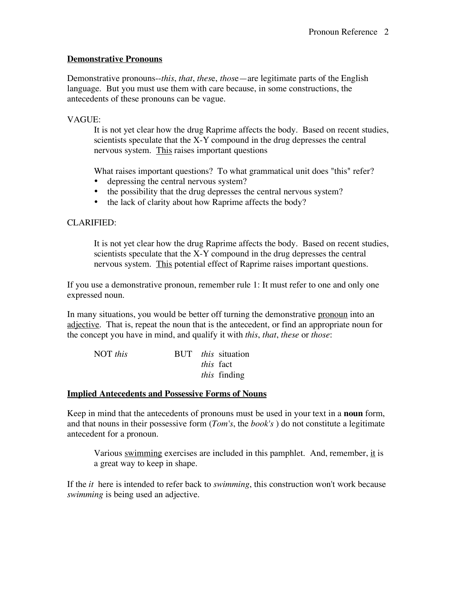### **Demonstrative Pronouns**

Demonstrative pronouns--*this*, *that*, *thes*e, *thos*e—are legitimate parts of the English language. But you must use them with care because, in some constructions, the antecedents of these pronouns can be vague.

# VAGUE:

It is not yet clear how the drug Raprime affects the body. Based on recent studies, scientists speculate that the X-Y compound in the drug depresses the central nervous system. This raises important questions

What raises important questions? To what grammatical unit does "this" refer?

- depressing the central nervous system?
- the possibility that the drug depresses the central nervous system?<br>• the lack of clarity about how Raprime affects the body?
- the lack of clarity about how Raprime affects the body?

## CLARIFIED:

It is not yet clear how the drug Raprime affects the body. Based on recent studies, scientists speculate that the X-Y compound in the drug depresses the central nervous system. This potential effect of Raprime raises important questions.

If you use a demonstrative pronoun, remember rule 1: It must refer to one and only one expressed noun.

In many situations, you would be better off turning the demonstrative pronoun into an adjective. That is, repeat the noun that is the antecedent, or find an appropriate noun for the concept you have in mind, and qualify it with *this*, *that*, *these* or *those*:

| NOT this |  | BUT <i>this</i> situation |
|----------|--|---------------------------|
|          |  | <i>this</i> fact          |
|          |  | <i>this</i> finding       |

### **Implied Antecedents and Possessive Forms of Nouns**

Keep in mind that the antecedents of pronouns must be used in your text in a **noun** form, and that nouns in their possessive form (*Tom's*, the *book's* ) do not constitute a legitimate antecedent for a pronoun.

Various swimming exercises are included in this pamphlet. And, remember, it is a great way to keep in shape.

If the *it* here is intended to refer back to *swimming*, this construction won't work because *swimming* is being used an adjective.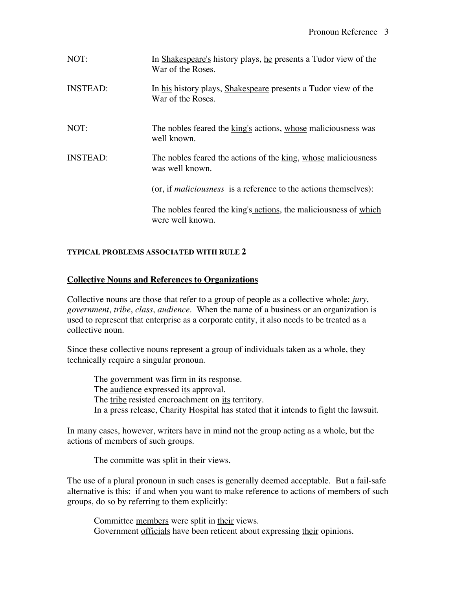| NOT:            | In Shakespeare's history plays, he presents a Tudor view of the<br>War of the Roses. |
|-----------------|--------------------------------------------------------------------------------------|
| <b>INSTEAD:</b> | In his history plays, Shakespeare presents a Tudor view of the<br>War of the Roses.  |
| NOT:            | The nobles feared the king's actions, whose maliciousness was<br>well known.         |
| <b>INSTEAD:</b> | The nobles feared the actions of the king, whose maliciousness<br>was well known.    |
|                 | (or, if <i>maliciousness</i> is a reference to the actions themselves):              |
|                 | The nobles feared the king's actions, the maliciousness of which<br>were well known. |

### **TYPICAL PROBLEMS ASSOCIATED WITH RULE 2**

### **Collective Nouns and References to Organizations**

Collective nouns are those that refer to a group of people as a collective whole: *jury*, *government*, *tribe*, *class*, *audience*. When the name of a business or an organization is used to represent that enterprise as a corporate entity, it also needs to be treated as a collective noun.

Since these collective nouns represent a group of individuals taken as a whole, they technically require a singular pronoun.

The government was firm in its response. The *audience* expressed *its* approval. The tribe resisted encroachment on its territory. In a press release, Charity Hospital has stated that it intends to fight the lawsuit.

In many cases, however, writers have in mind not the group acting as a whole, but the actions of members of such groups.

The committe was split in their views.

The use of a plural pronoun in such cases is generally deemed acceptable. But a fail-safe alternative is this: if and when you want to make reference to actions of members of such groups, do so by referring to them explicitly:

Committee members were split in their views. Government officials have been reticent about expressing their opinions.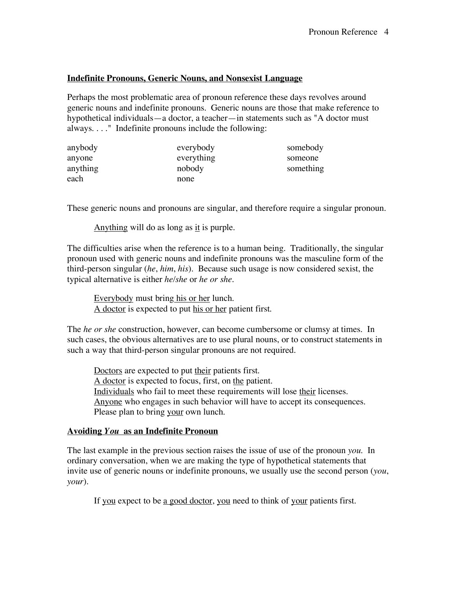#### **Indefinite Pronouns, Generic Nouns, and Nonsexist Language**

Perhaps the most problematic area of pronoun reference these days revolves around generic nouns and indefinite pronouns. Generic nouns are those that make reference to hypothetical individuals—a doctor, a teacher—in statements such as "A doctor must always. . . ." Indefinite pronouns include the following:

| anybody  | everybody  | somebody  |
|----------|------------|-----------|
| anyone   | everything | someone   |
| anything | nobody     | something |
| each     | none       |           |

These generic nouns and pronouns are singular, and therefore require a singular pronoun.

Anything will do as long as it is purple.

The difficulties arise when the reference is to a human being. Traditionally, the singular pronoun used with generic nouns and indefinite pronouns was the masculine form of the third-person singular (*he*, *him*, *his*). Because such usage is now considered sexist, the typical alternative is either *he/she* or *he or she*.

Everybody must bring his or her lunch. A doctor is expected to put his or her patient first.

The *he or she* construction, however, can become cumbersome or clumsy at times. In such cases, the obvious alternatives are to use plural nouns, or to construct statements in such a way that third-person singular pronouns are not required.

Doctors are expected to put their patients first. A doctor is expected to focus, first, on the patient. Individuals who fail to meet these requirements will lose their licenses. Anyone who engages in such behavior will have to accept its consequences. Please plan to bring your own lunch.

#### **Avoiding** *You* **as an Indefinite Pronoun**

The last example in the previous section raises the issue of use of the pronoun *you*. In ordinary conversation, when we are making the type of hypothetical statements that invite use of generic nouns or indefinite pronouns, we usually use the second person (*you*, *your*).

If you expect to be a good doctor, you need to think of your patients first.